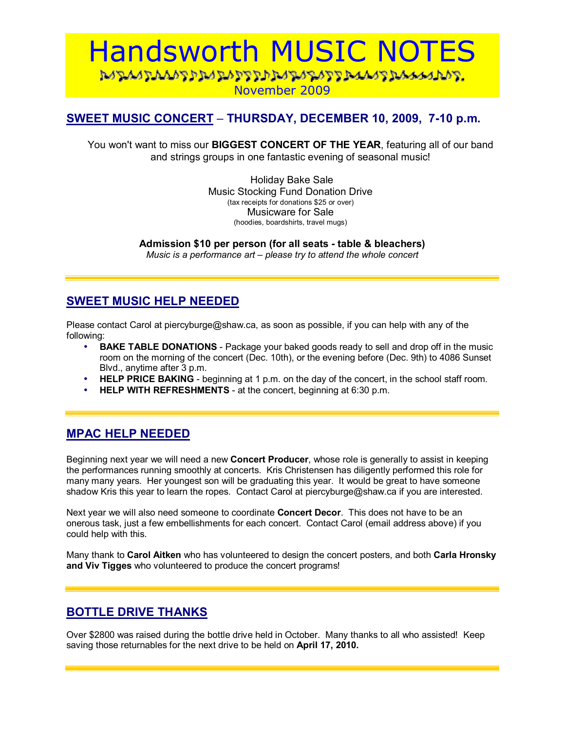# Handsworth MUSIC NOTES <u>NANAAN NANAN NANA NANA SERAAN NANA NANA NANAN NANA NANAN NANAN NANAN NANAN NANAN NANAN NANAN NANAN NANAN NANAN NANAN NANAN NANAN NANAN NANAN NANAN NANAN NANAN NANAN NANAN NANAN NANAN NANAN NANAN NANAN NANAN NANAN NANAN N</u> November 2009

## **SWEET MUSIC CONCERT - THURSDAY, DECEMBER 10, 2009, 7-10 p.m.**

You won't want to miss our **BIGGEST CONCERT OF THE YEAR**, featuring all of our band and strings groups in one fantastic evening of seasonal music!

> Holiday Bake Sale Music Stocking Fund Donation Drive (tax receipts for donations \$25 or over) Musicware for Sale (hoodies, boardshirts, travel mugs)

**Admission \$10 per person (for all seats - table & bleachers)**  *Music is a performance art – please try to attend the whole concert* 

## **SWEET MUSIC HELP NEEDED**

Please contact Carol at piercyburge@shaw.ca, as soon as possible, if you can help with any of the following:

- **BAKE TABLE DONATIONS** Package your baked goods ready to sell and drop off in the music room on the morning of the concert (Dec. 10th), or the evening before (Dec. 9th) to 4086 Sunset Blvd., anytime after 3 p.m.
- **HELP PRICE BAKING** beginning at 1 p.m. on the day of the concert, in the school staff room.
- **HELP WITH REFRESHMENTS** at the concert, beginning at 6:30 p.m.

#### **MPAC HELP NEEDED**

Beginning next year we will need a new **Concert Producer**, whose role is generally to assist in keeping the performances running smoothly at concerts. Kris Christensen has diligently performed this role for many many years. Her youngest son will be graduating this year. It would be great to have someone shadow Kris this year to learn the ropes. Contact Carol at piercyburge@shaw.ca if you are interested.

Next year we will also need someone to coordinate **Concert Decor**. This does not have to be an onerous task, just a few embellishments for each concert. Contact Carol (email address above) if you could help with this.

Many thank to **Carol Aitken** who has volunteered to design the concert posters, and both **Carla Hronsky and Viv Tigges** who volunteered to produce the concert programs!

#### **BOTTLE DRIVE THANKS**

Over \$2800 was raised during the bottle drive held in October. Many thanks to all who assisted! Keep saving those returnables for the next drive to be held on **April 17, 2010.**